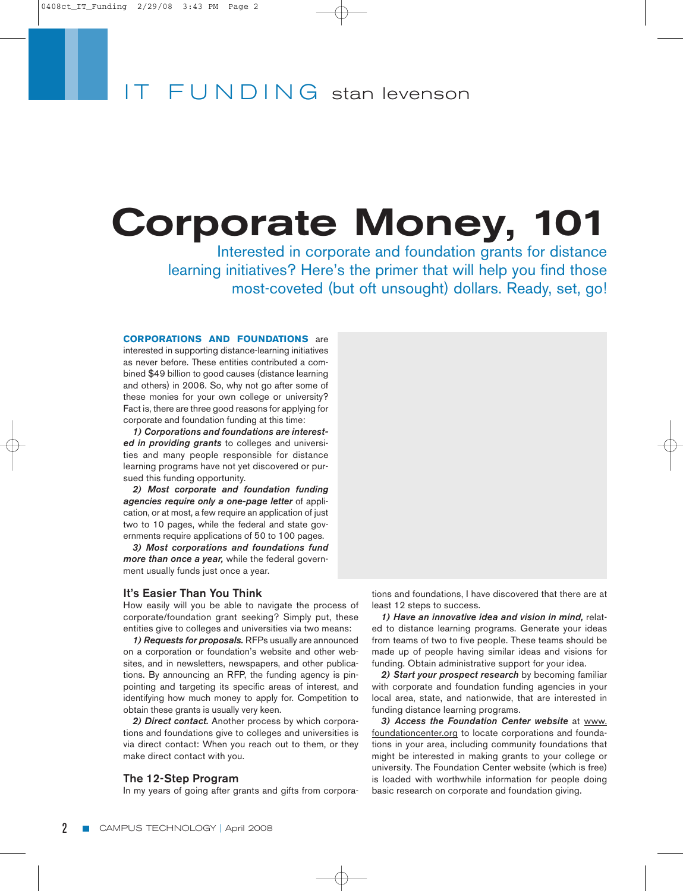# **Corporate Money, 101**

Interested in corporate and foundation grants for distance learning initiatives? Here's the primer that will help you find those most-coveted (but oft unsought) dollars. Ready, set, go!

**CORPORATIONS AND FOUNDATIONS** are interested in supporting distance-learning initiatives as never before. These entities contributed a com-

bined \$49 billion to good causes (distance learning and others) in 2006. So, why not go after some of these monies for your own college or university? Fact is, there are three good reasons for applying for corporate and foundation funding at this time:

*1) Corporations and foundations are interested in providing grants* to colleges and universities and many people responsible for distance learning programs have not yet discovered or pursued this funding opportunity.

*2) Most corporate and foundation funding agencies require only a one-page letter* of application, or at most, a few require an application of just two to 10 pages, while the federal and state governments require applications of 50 to 100 pages.

*3) Most corporations and foundations fund more than once a year,* while the federal government usually funds just once a year.

### **It's Easier Than You Think**

How easily will you be able to navigate the process of corporate/foundation grant seeking? Simply put, these entities give to colleges and universities via two means:

*1) Requests for proposals.* RFPs usually are announced on a corporation or foundation's website and other websites, and in newsletters, newspapers, and other publications. By announcing an RFP, the funding agency is pinpointing and targeting its specific areas of interest, and identifying how much money to apply for. Competition to obtain these grants is usually very keen.

*2) Direct contact.* Another process by which corporations and foundations give to colleges and universities is via direct contact: When you reach out to them, or they make direct contact with you.

### **The 12-Step Program**

In my years of going after grants and gifts from corpora-

tions and foundations, I have discovered that there are at least 12 steps to success.

*1) Have an innovative idea and vision in mind,* related to distance learning programs. Generate your ideas from teams of two to five people. These teams should be made up of people having similar ideas and visions for funding. Obtain administrative support for your idea.

*2) Start your prospect research* by becoming familiar with corporate and foundation funding agencies in your local area, state, and nationwide, that are interested in funding distance learning programs.

*3) Access the Foundation Center website* at www. foundationcenter.org to locate corporations and foundations in your area, including community foundations that might be interested in making grants to your college or university. The Foundation Center website (which is free) is loaded with worthwhile information for people doing basic research on corporate and foundation giving.